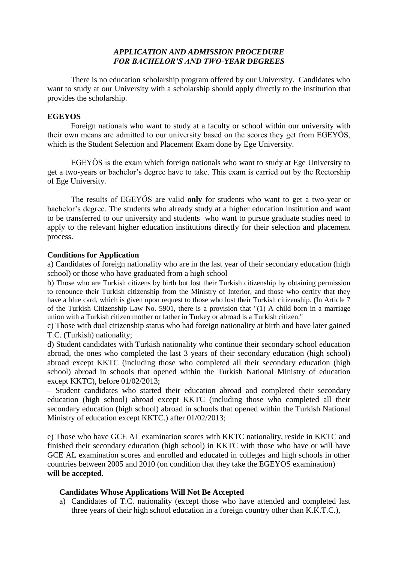# *APPLICATION AND ADMISSION PROCEDURE FOR BACHELOR'S AND TWO-YEAR DEGREES*

There is no education scholarship program offered by our University. Candidates who want to study at our University with a scholarship should apply directly to the institution that provides the scholarship.

## **EGEYOS**

Foreign nationals who want to study at a faculty or school within our university with their own means are admitted to our university based on the scores they get from EGEYÖS, which is the Student Selection and Placement Exam done by Ege University.

EGEYÖS is the exam which foreign nationals who want to study at Ege University to get a two-years or bachelor's degree have to take. This exam is carried out by the Rectorship of Ege University.

The results of EGEYÖS are valid **only** for students who want to get a two-year or bachelor's degree. The students who already study at a higher education institution and want to be transferred to our university and students who want to pursue graduate studies need to apply to the relevant higher education institutions directly for their selection and placement process.

## **Conditions for Application**

a) Candidates of foreign nationality who are in the last year of their secondary education (high school) or those who have graduated from a high school

b) Those who are Turkish citizens by birth but lost their Turkish citizenship by obtaining permission to renounce their Turkish citizenship from the Ministry of Interior, and those who certify that they have a blue card, which is given upon request to those who lost their Turkish citizenship. (In Article 7 of the Turkish Citizenship Law No. 5901, there is a provision that "(1) A child born in a marriage union with a Turkish citizen mother or father in Turkey or abroad is a Turkish citizen."

c) Those with dual citizenship status who had foreign nationality at birth and have later gained T.C. (Turkish) nationality;

d) Student candidates with Turkish nationality who continue their secondary school education abroad, the ones who completed the last 3 years of their secondary education (high school) abroad except KKTC (including those who completed all their secondary education (high school) abroad in schools that opened within the Turkish National Ministry of education except KKTC), before 01/02/2013;

– Student candidates who started their education abroad and completed their secondary education (high school) abroad except KKTC (including those who completed all their secondary education (high school) abroad in schools that opened within the Turkish National Ministry of education except KKTC.) after 01/02/2013;

e) Those who have GCE AL examination scores with KKTC nationality, reside in KKTC and finished their secondary education (high school) in KKTC with those who have or will have GCE AL examination scores and enrolled and educated in colleges and high schools in other countries between 2005 and 2010 (on condition that they take the EGEYOS examination) **will be accepted.**

## **Candidates Whose Applications Will Not Be Accepted**

a) Candidates of T.C. nationality (except those who have attended and completed last three years of their high school education in a foreign country other than K.K.T.C.),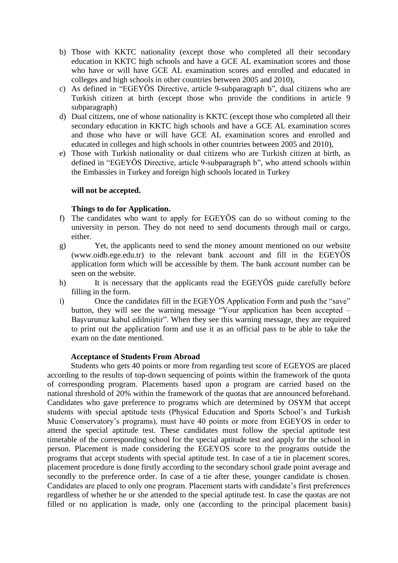- b) Those with KKTC nationality (except those who completed all their secondary education in KKTC high schools and have a GCE AL examination scores and those who have or will have GCE AL examination scores and enrolled and educated in colleges and high schools in other countries between 2005 and 2010),
- c) As defined in "EGEYÖS Directive, article 9-subparagraph b", dual citizens who are Turkish citizen at birth (except those who provide the conditions in article 9 subparagraph)
- d) Dual citizens, one of whose nationality is KKTC (except those who completed all their secondary education in KKTC high schools and have a GCE AL examination scores and those who have or will have GCE AL examination scores and enrolled and educated in colleges and high schools in other countries between 2005 and 2010),
- e) Those with Turkish nationality or dual citizens who are Turkish citizen at birth, as defined in "EGEYÖS Directive, article 9-subparagraph b", who attend schools within the Embassies in Turkey and foreign high schools located in Turkey

### **will not be accepted.**

## **Things to do for Application.**

- f) The candidates who want to apply for EGEYÖS can do so without coming to the university in person. They do not need to send documents through mail or cargo, either.
- g) Yet, the applicants need to send the money amount mentioned on our website (www.oidb.ege.edu.tr) to the relevant bank account and fill in the EGEYÖS application form which will be accessible by them. The bank account number can be seen on the website.
- h) It is necessary that the applicants read the EGEYÖS guide carefully before filling in the form.
- i) Once the candidates fill in the EGEYÖS Application Form and push the "save" button, they will see the warning message "Your application has been accepted – Başvurunuz kabul edilmiştir". When they see this warning message, they are required to print out the application form and use it as an official pass to be able to take the exam on the date mentioned.

#### **Acceptance of Students From Abroad**

Students who gets 40 points or more from regarding test score of EGEYOS are placed according to the results of top-down sequencing of points within the framework of the quota of corresponding program. Placements based upon a program are carried based on the national threshold of 20% within the framework of the quotas that are announced beforehand. Candidates who gave preference to programs which are determined by OSYM that accept students with special aptitude tests (Physical Education and Sports School's and Turkish Music Conservatory's programs), must have 40 points or more from EGEYOS in order to attend the special aptitude test. These candidates must follow the special aptitude test timetable of the corresponding school for the special aptitude test and apply for the school in person. Placement is made considering the EGEYOS score to the programs outside the programs that accept students with special aptitude test. In case of a tie in placement scores, placement procedure is done firstly according to the secondary school grade point average and secondly to the preference order. In case of a tie after these, younger candidate is chosen. Candidates are placed to only one program. Placement starts with candidate's first preferences regardless of whether he or she attended to the special aptitude test. In case the quotas are not filled or no application is made, only one (according to the principal placement basis)